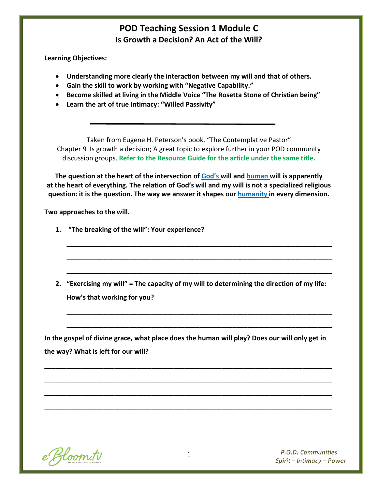# **POD Teaching Session 1 Module C Is Growth a Decision? An Act of the Will?**

**Learning Objectives:**

- **Understanding more clearly the interaction between my will and that of others.**
- **Gain the skill to work by working with "Negative Capability."**
- **Become skilled at living in the Middle Voice "The Rosetta Stone of Christian being"**
- **Learn the art of true Intimacy: "Willed Passivity"**

Taken from Eugene H. Peterson's book, "The Contemplative Pastor" Chapter 9 Is growth a decision; A great topic to explore further in your POD community discussion groups. **Refer to the Resource Guide for the article under the same title.**

**The question at the heart of the intersection of God's will and human will is apparently at the heart of everything. The relation of God's will and my will is not a specialized religious question: it is the question. The way we answer it shapes our humanity in every dimension.**

**Two approaches to the will.** 

- **1. "The breaking of the will": Your experience?**
- **2. "Exercising my will" = The capacity of my will to determining the direction of my life: How's that working for you?**

**\_\_\_\_\_\_\_\_\_\_\_\_\_\_\_\_\_\_\_\_\_\_\_\_\_\_\_\_\_\_\_\_\_\_\_\_\_\_\_\_\_\_\_\_\_\_\_\_\_\_\_\_\_\_\_\_\_\_\_\_\_\_\_\_\_\_\_\_\_\_\_\_**

**\_\_\_\_\_\_\_\_\_\_\_\_\_\_\_\_\_\_\_\_\_\_\_\_\_\_\_\_\_\_\_\_\_\_\_\_\_\_\_\_\_\_\_\_\_\_\_\_\_\_\_\_\_\_\_\_\_\_\_\_\_\_\_\_\_\_\_\_\_\_\_\_**

**\_\_\_\_\_\_\_\_\_\_\_\_\_\_\_\_\_\_\_\_\_\_\_\_\_\_\_\_\_\_\_\_\_\_\_\_\_\_\_\_\_\_\_\_\_\_\_\_\_\_\_\_\_\_\_\_\_\_\_\_\_\_\_\_\_\_\_\_\_\_\_\_**

**\_\_\_\_\_\_\_\_\_\_\_\_\_\_\_\_\_\_\_\_\_\_\_\_\_\_\_\_\_\_\_\_\_\_\_\_\_\_\_\_\_\_\_\_\_\_\_\_\_\_\_\_\_\_\_\_\_\_\_\_\_\_\_\_\_\_\_\_\_\_\_\_**

**\_\_\_\_\_\_\_\_\_\_\_\_\_\_\_\_\_\_\_\_\_\_\_\_\_\_\_\_\_\_\_\_\_\_\_\_\_\_\_\_\_\_\_\_\_\_\_\_\_\_\_\_\_\_\_\_\_\_\_\_\_\_\_\_\_\_\_\_\_\_\_\_**

**In the gospel of divine grace, what place does the human will play? Does our will only get in the way? What is left for our will?** 

**\_\_\_\_\_\_\_\_\_\_\_\_\_\_\_\_\_\_\_\_\_\_\_\_\_\_\_\_\_\_\_\_\_\_\_\_\_\_\_\_\_\_\_\_\_\_\_\_\_\_\_\_\_\_\_\_\_\_\_\_\_\_\_\_\_\_\_\_\_\_\_\_\_\_\_\_\_\_**

**\_\_\_\_\_\_\_\_\_\_\_\_\_\_\_\_\_\_\_\_\_\_\_\_\_\_\_\_\_\_\_\_\_\_\_\_\_\_\_\_\_\_\_\_\_\_\_\_\_\_\_\_\_\_\_\_\_\_\_\_\_\_\_\_\_\_\_\_\_\_\_\_\_\_\_\_\_\_**

**\_\_\_\_\_\_\_\_\_\_\_\_\_\_\_\_\_\_\_\_\_\_\_\_\_\_\_\_\_\_\_\_\_\_\_\_\_\_\_\_\_\_\_\_\_\_\_\_\_\_\_\_\_\_\_\_\_\_\_\_\_\_\_\_\_\_\_\_\_\_\_\_\_\_\_\_\_\_**

**\_\_\_\_\_\_\_\_\_\_\_\_\_\_\_\_\_\_\_\_\_\_\_\_\_\_\_\_\_\_\_\_\_\_\_\_\_\_\_\_\_\_\_\_\_\_\_\_\_\_\_\_\_\_\_\_\_\_\_\_\_\_\_\_\_\_\_\_\_\_\_\_\_\_\_\_\_\_**

e Bloom.tv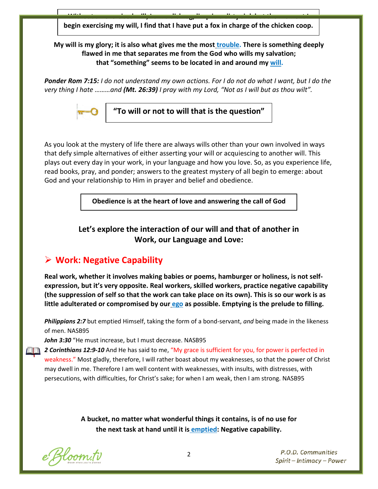**Without an exercised will, I am a dishrag, limp in a dirty sink but the moment I begin exercising my will, I find that I have put a fox in charge of the chicken coop.**

**My will is my glory; it is also what gives me the most trouble. There is something deeply flawed in me that separates me from the God who wills my salvation; that "something" seems to be located in and around my will.**

*Ponder Rom 7:15: I do not understand my own actions. For I do not do what I want, but I do the very thing I hate ………and (Mt. 26:39) I pray with my Lord, "Not as I will but as thou wilt".*



**"To will or not to will that is the question"**

As you look at the mystery of life there are always wills other than your own involved in ways that defy simple alternatives of either asserting your will or acquiescing to another will. This plays out every day in your work, in your language and how you love. So, as you experience life, read books, pray, and ponder; answers to the greatest mystery of all begin to emerge: about God and your relationship to Him in prayer and belief and obedience.

**Obedience is at the heart of love and answering the call of God**

### **Let's explore the interaction of our will and that of another in Work, our Language and Love:**

# **Work: Negative Capability**

**Real work, whether it involves making babies or poems, hamburger or holiness, is not selfexpression, but it's very opposite. Real workers, skilled workers, practice negative capability (the suppression of self so that the work can take place on its own). This is so our work is as little adulterated or compromised by our ego as possible. Emptying is the prelude to filling.**

*Philippians 2:7* but emptied Himself, taking the form of a bond-servant, *and* being made in the likeness of men. NASB95

John 3:30 "He must increase, but I must decrease. NASB95

2 **2 Corinthians 12:9-10** And He has said to me, "My grace is sufficient for you, for power is perfected in weakness." Most gladly, therefore, I will rather boast about my weaknesses, so that the power of Christ may dwell in me. Therefore I am well content with weaknesses, with insults, with distresses, with persecutions, with difficulties, for Christ's sake; for when I am weak, then I am strong. NASB95

> **A bucket, no matter what wonderful things it contains, is of no use for the next task at hand until it is emptied: Negative capability.**

e Bloom.tv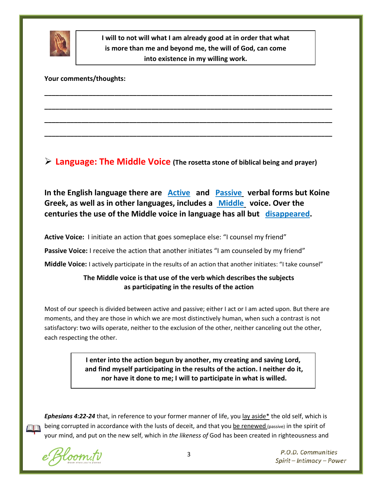

**I will to not will what I am already good at in order that what is more than me and beyond me, the will of God, can come into existence in my willing work.**

**\_\_\_\_\_\_\_\_\_\_\_\_\_\_\_\_\_\_\_\_\_\_\_\_\_\_\_\_\_\_\_\_\_\_\_\_\_\_\_\_\_\_\_\_\_\_\_\_\_\_\_\_\_\_\_\_\_\_\_\_\_\_\_\_\_\_\_\_\_\_\_\_\_\_\_\_\_\_**

**\_\_\_\_\_\_\_\_\_\_\_\_\_\_\_\_\_\_\_\_\_\_\_\_\_\_\_\_\_\_\_\_\_\_\_\_\_\_\_\_\_\_\_\_\_\_\_\_\_\_\_\_\_\_\_\_\_\_\_\_\_\_\_\_\_\_\_\_\_\_\_\_\_\_\_\_\_\_**

**\_\_\_\_\_\_\_\_\_\_\_\_\_\_\_\_\_\_\_\_\_\_\_\_\_\_\_\_\_\_\_\_\_\_\_\_\_\_\_\_\_\_\_\_\_\_\_\_\_\_\_\_\_\_\_\_\_\_\_\_\_\_\_\_\_\_\_\_\_\_\_\_\_\_\_\_\_\_**

**\_\_\_\_\_\_\_\_\_\_\_\_\_\_\_\_\_\_\_\_\_\_\_\_\_\_\_\_\_\_\_\_\_\_\_\_\_\_\_\_\_\_\_\_\_\_\_\_\_\_\_\_\_\_\_\_\_\_\_\_\_\_\_\_\_\_\_\_\_\_\_\_\_\_\_\_\_\_**

**Your comments/thoughts:** 

**Language: The Middle Voice (The rosetta stone of biblical being and prayer)**

**In the English language there are Active and Passive verbal forms but Koine Greek, as well as in other languages, includes a Middle voice. Over the centuries the use of the Middle voice in language has all but disappeared.**

**Active Voice:** I initiate an action that goes someplace else: "I counsel my friend"

**Passive Voice:** I receive the action that another initiates "I am counseled by my friend"

**Middle Voice:** I actively participate in the results of an action that another initiates: "I take counsel"

#### **The Middle voice is that use of the verb which describes the subjects as participating in the results of the action**

Most of our speech is divided between active and passive; either I act or I am acted upon. But there are moments, and they are those in which we are most distinctively human, when such a contrast is not satisfactory: two wills operate, neither to the exclusion of the other, neither canceling out the other, each respecting the other.

> **I enter into the action begun by another, my creating and saving Lord, and find myself participating in the results of the action. I neither do it, nor have it done to me; I will to participate in what is willed.**

*Ephesians 4:22-24* that, in reference to your former manner of life, you lay aside\* the old self, which is being corrupted in accordance with the lusts of deceit, and that you be renewed (passive) in the spirit of your mind, and put on the new self, which in *the likeness of* God has been created in righteousness and

e Bloom.tv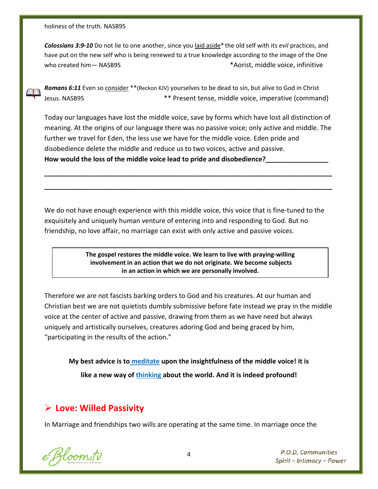holiness of the truth. NASB95

*Colossians 3:9-10* Do not lie to one another, since you laid aside\* the old self with its *evil* practices, and have put on the new self who is being renewed to a true knowledge according to the image of the One who created him— NASB95 \* Aorist, middle voice, infinitive



*Romans 6:11* Even so consider \*\*(Reckon KJV) yourselves to be dead to sin, but alive to God in Christ Jesus. NASB95 \*\* Present tense, middle voice, imperative (command)

Today our languages have lost the middle voice, save by forms which have lost all distinction of meaning. At the origins of our language there was no passive voice; only active and middle. The further we travel for Eden, the less use we have for the middle voice. Eden pride and disobedience delete the middle and reduce us to two voices, active and passive. How would the loss of the middle voice lead to pride and disobedience?

**\_\_\_\_\_\_\_\_\_\_\_\_\_\_\_\_\_\_\_\_\_\_\_\_\_\_\_\_\_\_\_\_\_\_\_\_\_\_\_\_\_\_\_\_\_\_\_\_\_\_\_\_\_\_\_\_\_\_\_\_\_\_\_\_\_\_\_\_\_\_\_\_\_\_\_\_\_\_**

**\_\_\_\_\_\_\_\_\_\_\_\_\_\_\_\_\_\_\_\_\_\_\_\_\_\_\_\_\_\_\_\_\_\_\_\_\_\_\_\_\_\_\_\_\_\_\_\_\_\_\_\_\_\_\_\_\_\_\_\_\_\_\_\_\_\_\_\_\_\_\_\_\_\_\_\_\_\_**

We do not have enough experience with this middle voice, this voice that is fine-tuned to the exquisitely and uniquely human venture of entering into and responding to God. But no friendship, no love affair, no marriage can exist with only active and passive voices.

> **The gospel restores the middle voice. We learn to live with praying-willing involvement in an action that we do not originate. We become subjects in an action in which we are personally involved.**

Therefore we are not fascists barking orders to God and his creatures. At our human and Christian best we are not quietists dumbly submissive before fate instead we pray in the middle voice at the center of active and passive, drawing from them as we have need but always uniquely and artistically ourselves, creatures adoring God and being graced by him, "participating in the results of the action."

**My best advice is to meditate upon the insightfulness of the middle voice! it is like a new way of thinking about the world. And it is indeed profound!**

# **Love: Willed Passivity**

In Marriage and friendships two wills are operating at the same time. In marriage once the

e Bloom.tv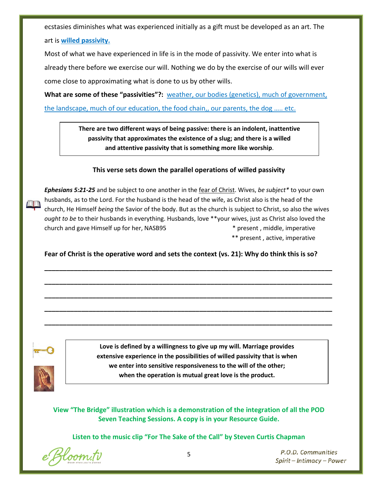ecstasies diminishes what was experienced initially as a gift must be developed as an art. The art is **willed passivity.**

Most of what we have experienced in life is in the mode of passivity. We enter into what is already there before we exercise our will. Nothing we do by the exercise of our wills will ever come close to approximating what is done to us by other wills.

**What are some of these "passivities"?:** weather, our bodies (genetics), much of government, the landscape, much of our education, the food chain,, our parents, the dog ….. etc.

> **There are two different ways of being passive: there is an indolent, inattentive passivity that approximates the existence of a slug; and there is a willed and attentive passivity that is something more like worship**.

#### **This verse sets down the parallel operations of willed passivity**

*Ephesians 5:21-25* and be subject to one another in the fear of Christ. Wives, *be subject\** to your own husbands, as to the Lord. For the husband is the head of the wife, as Christ also is the head of the church, He Himself *being* the Savior of the body. But as the church is subject to Christ, so also the wives *ought to be* to their husbands in everything. Husbands, love \*\*your wives, just as Christ also loved the church and gave Himself up for her, NASB95 \* present , middle, imperative \*\* present , active, imperative

**Fear of Christ is the operative word and sets the context (vs. 21): Why do think this is so?**

**\_\_\_\_\_\_\_\_\_\_\_\_\_\_\_\_\_\_\_\_\_\_\_\_\_\_\_\_\_\_\_\_\_\_\_\_\_\_\_\_\_\_\_\_\_\_\_\_\_\_\_\_\_\_\_\_\_\_\_\_\_\_\_\_\_\_\_\_\_\_\_\_\_\_\_\_\_\_**

**\_\_\_\_\_\_\_\_\_\_\_\_\_\_\_\_\_\_\_\_\_\_\_\_\_\_\_\_\_\_\_\_\_\_\_\_\_\_\_\_\_\_\_\_\_\_\_\_\_\_\_\_\_\_\_\_\_\_\_\_\_\_\_\_\_\_\_\_\_\_\_\_\_\_\_\_\_\_**

**\_\_\_\_\_\_\_\_\_\_\_\_\_\_\_\_\_\_\_\_\_\_\_\_\_\_\_\_\_\_\_\_\_\_\_\_\_\_\_\_\_\_\_\_\_\_\_\_\_\_\_\_\_\_\_\_\_\_\_\_\_\_\_\_\_\_\_\_\_\_\_\_\_\_\_\_\_\_**

**\_\_\_\_\_\_\_\_\_\_\_\_\_\_\_\_\_\_\_\_\_\_\_\_\_\_\_\_\_\_\_\_\_\_\_\_\_\_\_\_\_\_\_\_\_\_\_\_\_\_\_\_\_\_\_\_\_\_\_\_\_\_\_\_\_\_\_\_\_\_\_\_\_\_\_\_\_\_**

**\_\_\_\_\_\_\_\_\_\_\_\_\_\_\_\_\_\_\_\_\_\_\_\_\_\_\_\_\_\_\_\_\_\_\_\_\_\_\_\_\_\_\_\_\_\_\_\_\_\_\_\_\_\_\_\_\_\_\_\_\_\_\_\_\_\_\_\_\_\_\_\_\_\_\_\_\_\_**



**Love is defined by a willingness to give up my will. Marriage provides extensive experience in the possibilities of willed passivity that is when we enter into sensitive responsiveness to the will of the other; when the operation is mutual great love is the product.**

**View "The Bridge" illustration which is a demonstration of the integration of all the POD Seven Teaching Sessions. A copy is in your Resource Guide.**

**Listen to the music clip "For The Sake of the Call" by Steven Curtis Chapman**

e Bloom.tv